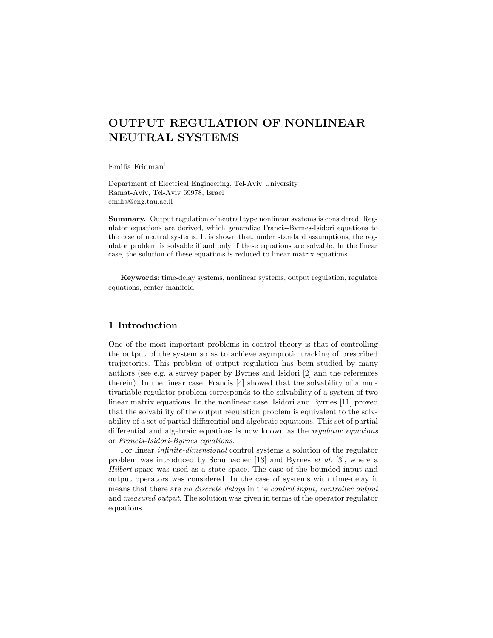# OUTPUT REGULATION OF NONLINEAR NEUTRAL SYSTEMS

Emilia Fridman<sup>1</sup>

Department of Electrical Engineering, Tel-Aviv University Ramat-Aviv, Tel-Aviv 69978, Israel emilia@eng.tau.ac.il

Summary. Output regulation of neutral type nonlinear systems is considered. Regulator equations are derived, which generalize Francis-Byrnes-Isidori equations to the case of neutral systems. It is shown that, under standard assumptions, the regulator problem is solvable if and only if these equations are solvable. In the linear case, the solution of these equations is reduced to linear matrix equations.

Keywords: time-delay systems, nonlinear systems, output regulation, regulator equations, center manifold

## 1 Introduction

One of the most important problems in control theory is that of controlling the output of the system so as to achieve asymptotic tracking of prescribed trajectories. This problem of output regulation has been studied by many authors (see e.g. a survey paper by Byrnes and Isidori [2] and the references therein). In the linear case, Francis [4] showed that the solvability of a multivariable regulator problem corresponds to the solvability of a system of two linear matrix equations. In the nonlinear case, Isidori and Byrnes [11] proved that the solvability of the output regulation problem is equivalent to the solvability of a set of partial differential and algebraic equations. This set of partial differential and algebraic equations is now known as the regulator equations or Francis-Isidori-Byrnes equations.

For linear infinite-dimensional control systems a solution of the regulator problem was introduced by Schumacher [13] and Byrnes et al. [3], where a Hilbert space was used as a state space. The case of the bounded input and output operators was considered. In the case of systems with time-delay it means that there are no discrete delays in the control input, controller output and measured output. The solution was given in terms of the operator regulator equations.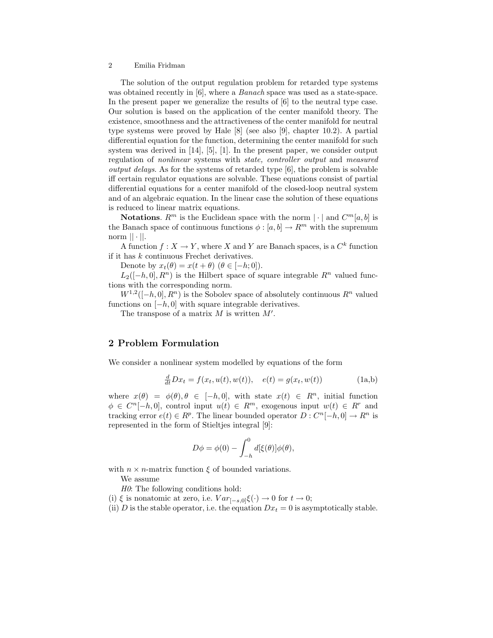The solution of the output regulation problem for retarded type systems was obtained recently in [6], where a *Banach* space was used as a state-space. In the present paper we generalize the results of [6] to the neutral type case. Our solution is based on the application of the center manifold theory. The existence, smoothness and the attractiveness of the center manifold for neutral type systems were proved by Hale [8] (see also [9], chapter 10.2). A partial differential equation for the function, determining the center manifold for such system was derived in [14], [5], [1]. In the present paper, we consider output regulation of nonlinear systems with state, controller output and measured *output delays.* As for the systems of retarded type  $[6]$ , the problem is solvable iff certain regulator equations are solvable. These equations consist of partial differential equations for a center manifold of the closed-loop neutral system and of an algebraic equation. In the linear case the solution of these equations is reduced to linear matrix equations.

**Notations.**  $R^m$  is the Euclidean space with the norm  $|\cdot|$  and  $C^m[a, b]$  is the Banach space of continuous functions  $\phi : [a, b] \to R^m$  with the supremum norm  $|| \cdot ||$ .

A function  $f: X \to Y$ , where X and Y are Banach spaces, is a  $C<sup>k</sup>$  function if it has  $k$  continuous Frechet derivatives.

Denote by  $x_t(\theta) = x(t + \theta)$   $(\theta \in [-h, 0])$ .

 $L_2([-h, 0], R^n)$  is the Hilbert space of square integrable  $R^n$  valued functions with the corresponding norm.

 $W^{1,2}([-h, 0], R^n)$  is the Sobolev space of absolutely continuous  $R^n$  valued functions on  $[-h, 0]$  with square integrable derivatives.

The transpose of a matrix  $M$  is written  $M'$ .

# 2 Problem Formulation

We consider a nonlinear system modelled by equations of the form

$$
\frac{d}{dt}Dx_t = f(x_t, u(t), w(t)), \quad e(t) = g(x_t, w(t))
$$
\n(1a,b)

where  $x(\theta) = \phi(\theta), \theta \in [-h, 0]$ , with state  $x(t) \in R^n$ , initial function  $\phi \in C^{n}[-h, 0],$  control input  $u(t) \in R^{m}$ , exogenous input  $w(t) \in R^{r}$  and tracking error  $e(t) \in R^p$ . The linear bounded operator  $D: C^n[-h, 0] \to R^n$  is represented in the form of Stieltjes integral [9]:

$$
D\phi = \phi(0) - \int_{-h}^{0} d[\xi(\theta)]\phi(\theta),
$$

with  $n \times n$ -matrix function  $\xi$  of bounded variations.

We assume

 $H<sub>0</sub>$ : The following conditions hold:

- (i)  $\xi$  is nonatomic at zero, i.e.  $Var_{[-s,0]} \xi(\cdot) \to 0$  for  $t \to 0$ ;
- (ii) D is the stable operator, i.e. the equation  $Dx_t = 0$  is asymptotically stable.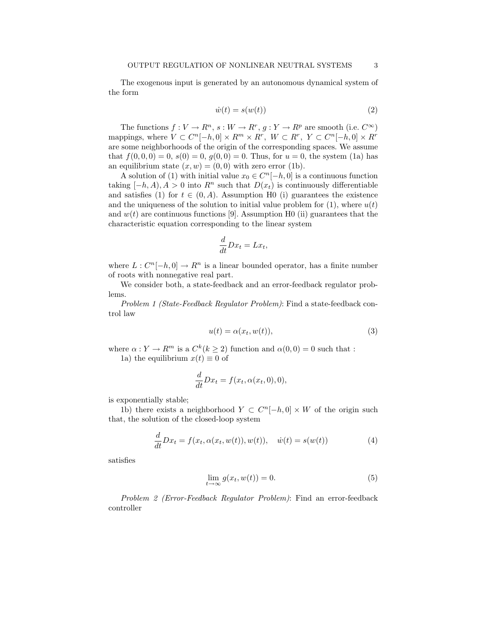The exogenous input is generated by an autonomous dynamical system of the form

$$
\dot{w}(t) = s(w(t))\tag{2}
$$

The functions  $f: V \to R^n$ ,  $s: W \to R^r$ ,  $g: Y \to R^p$  are smooth (i.e.  $C^{\infty}$ ) mappings, where  $V \subset C^{n}[-h,0] \times R^{m} \times R^{r}$ ,  $W \subset R^{r}$ ,  $Y \subset C^{n}[-h,0] \times R^{r}$ are some neighborhoods of the origin of the corresponding spaces. We assume that  $f(0, 0, 0) = 0$ ,  $s(0) = 0$ ,  $g(0, 0) = 0$ . Thus, for  $u = 0$ , the system (1a) has an equilibrium state  $(x, w) = (0, 0)$  with zero error (1b).

A solution of (1) with initial value  $x_0 \in C<sup>n</sup>[-h, 0]$  is a continuous function taking  $[-h, A), A > 0$  into  $R^n$  such that  $D(x_t)$  is continuously differentiable and satisfies (1) for  $t \in (0, A)$ . Assumption H0 (i) guarantees the existence and the uniqueness of the solution to initial value problem for  $(1)$ , where  $u(t)$ and  $w(t)$  are continuous functions [9]. Assumption H0 (ii) guarantees that the characteristic equation corresponding to the linear system

$$
\frac{d}{dt}Dx_t = Lx_t,
$$

where  $L: C^{n}[-h, 0] \to R^{n}$  is a linear bounded operator, has a finite number of roots with nonnegative real part.

We consider both, a state-feedback and an error-feedback regulator problems.

Problem 1 (State-Feedback Regulator Problem): Find a state-feedback control law

$$
u(t) = \alpha(x_t, w(t)),\tag{3}
$$

where  $\alpha: Y \to R^m$  is a  $C^k (k \geq 2)$  function and  $\alpha(0,0) = 0$  such that : 1a) the equilibrium  $x(t) \equiv 0$  of

$$
\frac{d}{dt}Dx_t = f(x_t, \alpha(x_t, 0), 0),
$$

is exponentially stable;

1b) there exists a neighborhood  $Y \subset C^{n}[-h, 0] \times W$  of the origin such that, the solution of the closed-loop system

$$
\frac{d}{dt}Dx_t = f(x_t, \alpha(x_t, w(t)), w(t)), \quad \dot{w}(t) = s(w(t))
$$
\n(4)

satisfies

$$
\lim_{t \to \infty} g(x_t, w(t)) = 0.
$$
\n(5)

Problem 2 (Error-Feedback Regulator Problem): Find an error-feedback controller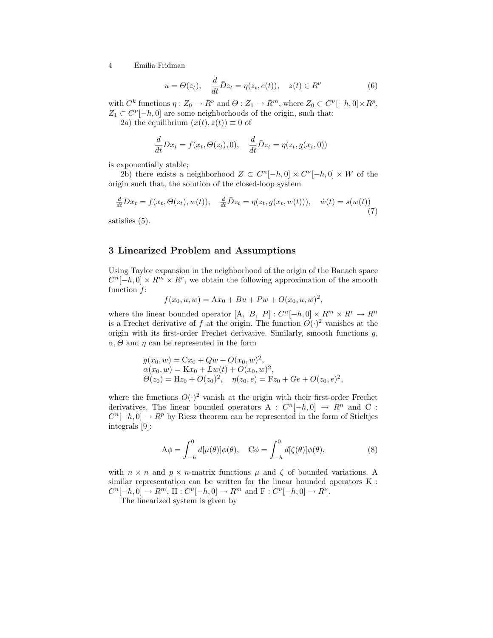$$
u = \Theta(z_t), \quad \frac{d}{dt}\bar{D}z_t = \eta(z_t, e(t)), \quad z(t) \in R^\nu \tag{6}
$$

with  $C^k$  functions  $\eta: Z_0 \to R^{\nu}$  and  $\Theta: Z_1 \to R^m$ , where  $Z_0 \subset C^{\nu}[-h, 0] \times R^p$ ,  $Z_1 \subset C^{\nu}[-h,0]$  are some neighborhoods of the origin, such that:

2a) the equilibrium  $(x(t), z(t)) \equiv 0$  of

$$
\frac{d}{dt}Dx_t = f(x_t, \Theta(z_t), 0), \quad \frac{d}{dt}\bar{D}z_t = \eta(z_t, g(x_t, 0))
$$

is exponentially stable;

2b) there exists a neighborhood  $Z \subset C^{n}[-h,0] \times C^{v}[-h,0] \times W$  of the origin such that, the solution of the closed-loop system

$$
\frac{d}{dt}Dx_t = f(x_t, \Theta(z_t), w(t)), \quad \frac{d}{dt}\overline{D}z_t = \eta(z_t, g(x_t, w(t))), \quad \dot{w}(t) = s(w(t))\tag{7}
$$

satisfies (5).

## 3 Linearized Problem and Assumptions

Using Taylor expansion in the neighborhood of the origin of the Banach space  $C^{n}[-h,0] \times R^{m} \times R^{r}$ , we obtain the following approximation of the smooth function f:

$$
f(x_0, u, w) = Ax_0 + Bu + Pw + O(x_0, u, w)^2,
$$

where the linear bounded operator [A, B, P] :  $C^{n}[-h, 0] \times R^{m} \times R^{r} \to R^{n}$ is a Frechet derivative of f at the origin. The function  $O(\cdot)^2$  vanishes at the origin with its first-order Frechet derivative. Similarly, smooth functions  $g$ ,  $\alpha, \Theta$  and  $\eta$  can be represented in the form

$$
g(x_0, w) = Cx_0 + Qw + O(x_0, w)^2,
$$
  
\n
$$
\alpha(x_0, w) = Kx_0 + Lw(t) + O(x_0, w)^2,
$$
  
\n
$$
\Theta(z_0) = Hz_0 + O(z_0)^2, \quad \eta(z_0, e) = Fz_0 + Ge + O(z_0, e)^2,
$$

where the functions  $O(\cdot)^2$  vanish at the origin with their first-order Frechet derivatives. The linear bounded operators A :  $C<sup>n</sup>[-h, 0] \rightarrow R<sup>n</sup>$  and C :  $C^{n}[-h, 0] \to R^{p}$  by Riesz theorem can be represented in the form of Stieltjes integrals [9]:

$$
A\phi = \int_{-h}^{0} d[\mu(\theta)]\phi(\theta), \quad C\phi = \int_{-h}^{0} d[\zeta(\theta)]\phi(\theta), \tag{8}
$$

with  $n \times n$  and  $p \times n$ -matrix functions  $\mu$  and  $\zeta$  of bounded variations. A similar representation can be written for the linear bounded operators K :  $C^{n}[-h,0] \to R^{m}, H : C^{\nu}[-h,0] \to R^{m}$  and  $F : C^{\nu}[-h,0] \to R^{\nu}$ .

The linearized system is given by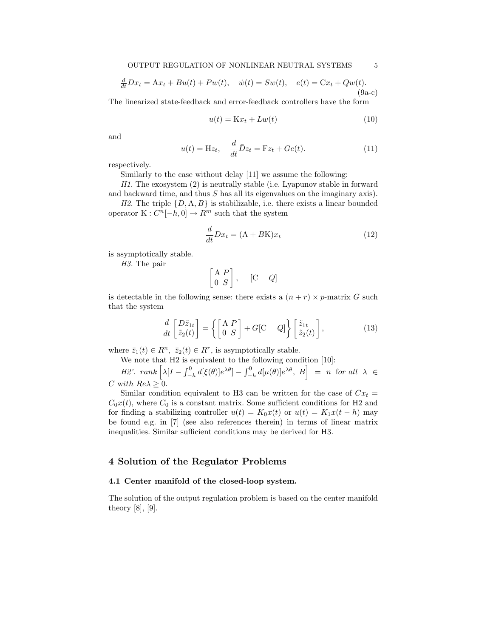$$
\frac{d}{dt}Dx_t = Ax_t + Bu(t) + Pw(t), \quad \dot{w}(t) = Sw(t), \quad e(t) = Cx_t + Qw(t).
$$
\n(9a-c)

The linearized state-feedback and error-feedback controllers have the form

$$
u(t) = \mathbf{K}x_t + L w(t) \tag{10}
$$

and

$$
u(t) = \mathbf{H}z_t, \quad \frac{d}{dt}\bar{D}z_t = \mathbf{F}z_t + Ge(t). \tag{11}
$$

respectively.

Similarly to the case without delay [11] we assume the following:

H1. The exosystem (2) is neutrally stable (i.e. Lyapunov stable in forward and backward time, and thus S has all its eigenvalues on the imaginary axis).

H2. The triple  $\{D, A, B\}$  is stabilizable, i.e. there exists a linear bounded operator  $K: C^{n}[-h, 0] \to R^{m}$  such that the system

$$
\frac{d}{dt}Dx_t = (A + BK)x_t
$$
\n(12)

is asymptotically stable.

H3. The pair

$$
\begin{bmatrix} A & P \\ 0 & S \end{bmatrix}, \quad [C \quad Q]
$$

is detectable in the following sense: there exists a  $(n + r) \times p$ -matrix G such that the system

$$
\frac{d}{dt} \begin{bmatrix} D\tilde{z}_{1t} \\ \tilde{z}_{2}(t) \end{bmatrix} = \left\{ \begin{bmatrix} A & P \\ 0 & S \end{bmatrix} + G[C & Q] \right\} \begin{bmatrix} \tilde{z}_{1t} \\ \tilde{z}_{2}(t) \end{bmatrix},
$$
\n(13)

where  $\bar{z}_1(t) \in R^n$ ,  $\bar{z}_2(t) \in R^r$ , is asymptotically stable.

We note that H2 is equivalent to the following condition [10]:<br>  $H2'$ . rank  $\left[\lambda |I - \int_{-h}^{0} d\left[\xi(\theta)\right] e^{\lambda \theta}] - \int_{-h}^{0} d\left[\mu(\theta)\right] e^{\lambda \theta}, B\right] = n$  $-\frac{\partial}{\partial h}d[\xi(\theta)]e^{\lambda\theta}]-\int_{-}^{0}$ <sup>o</sup> condition [10]:<br>  $\begin{bmatrix} -\frac{1}{n} d[\mu(\theta)]e^{\lambda \theta}, B \end{bmatrix} = n$  for all  $\lambda \in$ C with  $Re\lambda \geq 0$ .

Similar condition equivalent to H3 can be written for the case of  $Cx_t =$  $C_0x(t)$ , where  $C_0$  is a constant matrix. Some sufficient conditions for H2 and for finding a stabilizing controller  $u(t) = K_0x(t)$  or  $u(t) = K_1x(t-h)$  may be found e.g. in [7] (see also references therein) in terms of linear matrix inequalities. Similar sufficient conditions may be derived for H3.

## 4 Solution of the Regulator Problems

#### 4.1 Center manifold of the closed-loop system.

The solution of the output regulation problem is based on the center manifold theory [8], [9].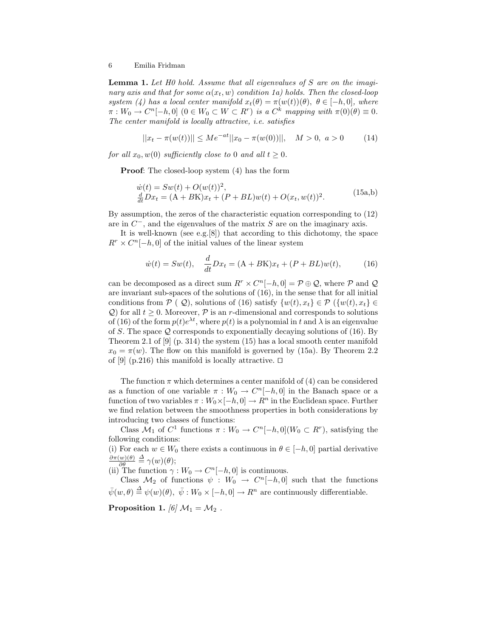Lemma 1. Let H0 hold. Assume that all eigenvalues of S are on the imaginary axis and that for some  $\alpha(x_t, w)$  condition 1a) holds. Then the closed-loop system (4) has a local center manifold  $x_t(\theta) = \pi(w(t))(\theta)$ ,  $\theta \in [-h, 0]$ , where  $\pi: W_0 \to C^n[-h, 0] \ (0 \in W_0 \subset W \subset R^r)$  is a  $C^k$  mapping with  $\pi(0)(\theta) \equiv 0$ . The center manifold is locally attractive, i.e. satisfies

$$
||x_t - \pi(w(t))|| \le Me^{-at}||x_0 - \pi(w(0))||, \quad M > 0, \ a > 0 \tag{14}
$$

for all  $x_0, w(0)$  sufficiently close to 0 and all  $t \geq 0$ .

Proof: The closed-loop system (4) has the form

$$
\dot{w}(t) = Sw(t) + O(w(t))^{2}, \n\frac{d}{dt}Dx_{t} = (A + BK)x_{t} + (P + BL)w(t) + O(x_{t}, w(t))^{2}.
$$
\n(15a,b)

By assumption, the zeros of the characteristic equation corresponding to (12) are in  $C^-$ , and the eigenvalues of the matrix S are on the imaginary axis.

It is well-known (see e.g.[8]) that according to this dichotomy, the space  $R^r \times C^n[-h, 0]$  of the initial values of the linear system

$$
\dot{w}(t) = Sw(t), \quad \frac{d}{dt}Dx_t = (A + BK)x_t + (P + BL)w(t), \tag{16}
$$

can be decomposed as a direct sum  $R^r \times C^n[-h, 0] = \mathcal{P} \oplus \mathcal{Q}$ , where  $\mathcal{P}$  and  $\mathcal{Q}$ are invariant sub-spaces of the solutions of (16), in the sense that for all initial conditions from  $P(\mathcal{Q})$ , solutions of (16) satisfy  $\{w(t), x_t\} \in \mathcal{P}(\{w(t), x_t\} \in$ Q) for all  $t > 0$ . Moreover, P is an r-dimensional and corresponds to solutions of (16) of the form  $p(t)e^{\lambda t}$ , where  $p(t)$  is a polynomial in t and  $\lambda$  is an eigenvalue of S. The space  $\mathcal Q$  corresponds to exponentially decaying solutions of (16). By Theorem 2.1 of [9] (p. 314) the system (15) has a local smooth center manifold  $x_0 = \pi(w)$ . The flow on this manifold is governed by (15a). By Theorem 2.2 of [9] (p.216) this manifold is locally attractive.  $\Box$ 

The function  $\pi$  which determines a center manifold of (4) can be considered as a function of one variable  $\pi : W_0 \to C^n[-h, 0]$  in the Banach space or a function of two variables  $\pi : W_0 \times [-h, 0] \to R^n$  in the Euclidean space. Further we find relation between the smoothness properties in both considerations by introducing two classes of functions:

Class  $\mathcal{M}_1$  of  $C^1$  functions  $\pi : W_0 \to C^n[-h, 0](W_0 \subset R^r)$ , satisfying the following conditions:

(i) For each  $w \in W_0$  there exists a continuous in  $\theta \in [-h, 0]$  partial derivative  $\partial \pi(w)(\theta)$  $\frac{w(\theta)}{\partial \theta} \stackrel{\Delta}{=} \gamma(w)(\theta);$ 

(ii) The function  $\gamma: W_0 \to C^n[-h, 0]$  is continuous.

Class  $\mathcal{M}_2$  of functions  $\psi : W_0 \to C^n[-h, 0]$  such that the functions  $\bar{\psi}(w,\theta) \stackrel{\Delta}{=} \psi(w)(\theta), \ \bar{\psi}: W_0 \times [-h,0] \to R^n$  are continuously differentiable.

Proposition 1. [6]  $\mathcal{M}_1 = \mathcal{M}_2$ .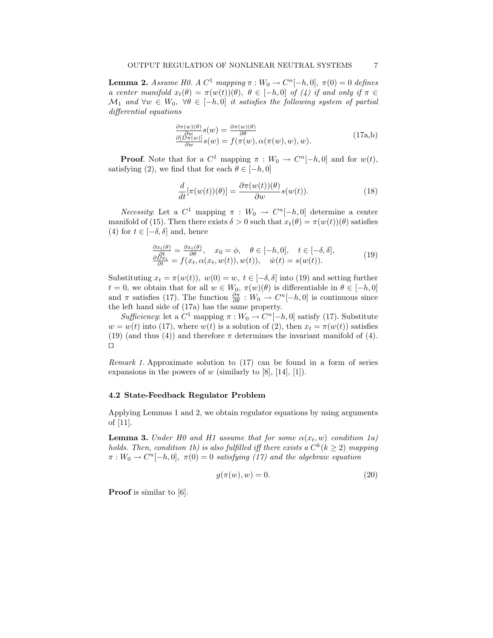**Lemma 2.** Assume H0. A  $C^1$  mapping  $\pi : W_0 \to C^n[-h, 0], \ \pi(0) = 0$  defines a center manifold  $x_t(\theta) = \pi(w(t))(\theta)$ ,  $\theta \in [-h, 0]$  of (4) if and only if  $\pi \in$  $\mathcal{M}_1$  and  $\forall w \in W_0$ ,  $\forall \theta \in [-h, 0]$  it satisfies the following system of partial differential equations

$$
\frac{\partial \pi(w)(\theta)}{\partial w} s(w) = \frac{\partial \pi(w)(\theta)}{\partial \theta} \n\underline{\partial}[\frac{\pi(w)}{\partial w}] s(w) = f(\pi(w), \alpha(\pi(w), w), w).
$$
\n(17a,b)

**Proof.** Note that for a  $C^1$  mapping  $\pi : W_0 \to C^n[-h, 0]$  and for  $w(t)$ , satisfying (2), we find that for each  $\theta \in [-h, 0]$ 

$$
\frac{d}{dt}[\pi(w(t))(\theta)] = \frac{\partial \pi(w(t))(\theta)}{\partial w} s(w(t)).
$$
\n(18)

*Necessity*: Let a  $C^1$  mapping  $\pi : W_0 \to C^n[-h, 0]$  determine a center manifold of (15). Then there exists  $\delta > 0$  such that  $x_t(\theta) = \pi(w(t))(\theta)$  satisfies (4) for  $t \in [-\delta, \delta]$  and, hence

$$
\frac{\frac{\partial x_t(\theta)}{\partial t}}{\frac{\partial Dx_t}{\partial t}} = \frac{\frac{\partial x_t(\theta)}{\partial \theta}}{\frac{\partial \phi}{\partial t}}, \quad x_0 = \phi, \quad \theta \in [-h, 0], \quad t \in [-\delta, \delta],
$$
\n
$$
\frac{\frac{\partial Dx_t}{\partial t}}{\frac{\partial t}{\partial t}} = f(x_t, \alpha(x_t, w(t)), w(t)), \quad \dot{w}(t) = s(w(t)).
$$
\n(19)

Substituting  $x_t = \pi(w(t))$ ,  $w(0) = w$ ,  $t \in [-\delta, \delta]$  into (19) and setting further  $t = 0$ , we obtain that for all  $w \in W_0$ ,  $\pi(w)(\theta)$  is differentiable in  $\theta \in [-h, 0]$ and  $\pi$  satisfies (17). The function  $\frac{\partial \pi}{\partial \theta}$  :  $W_0 \to C^n[-h, 0]$  is continuous since the left hand side of (17a) has the same property.

Sufficiency: let a  $C^1$  mapping  $\pi : W_0 \to C^n[-h, 0]$  satisfy (17). Substitute  $w = w(t)$  into (17), where  $w(t)$  is a solution of (2), then  $x_t = \pi(w(t))$  satisfies (19) (and thus (4)) and therefore  $\pi$  determines the invariant manifold of (4).  $\Box$ 

Remark 1. Approximate solution to (17) can be found in a form of series expansions in the powers of  $w$  (similarly to [8], [14], [1]).

#### 4.2 State-Feedback Regulator Problem

Applying Lemmas 1 and 2, we obtain regulator equations by using arguments of [11].

**Lemma 3.** Under H0 and H1 assume that for some  $\alpha(x_t, w)$  condition 1a) holds. Then, condition 1b) is also fulfilled iff there exists a  $C^k$  ( $k \geq 2$ ) mapping  $\pi: W_0 \to C^n[-h, 0], \ \pi(0) = 0$  satisfying (17) and the algebraic equation

$$
g(\pi(w), w) = 0.\t(20)
$$

Proof is similar to [6].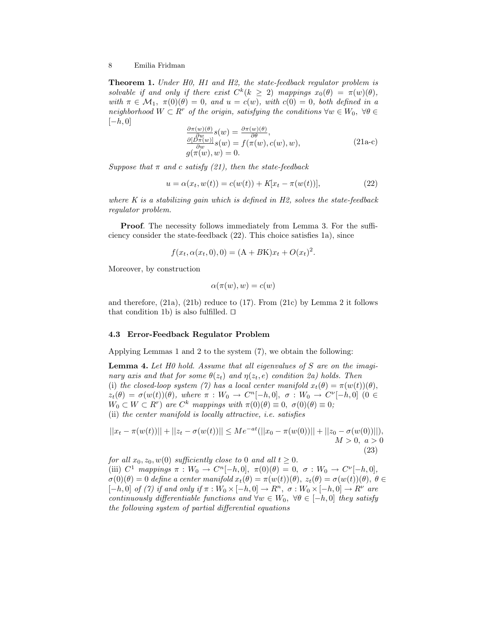Theorem 1. Under H0, H1 and H2, the state-feedback regulator problem is solvable if and only if there exist  $C^k(k \geq 2)$  mappings  $x_0(\theta) = \pi(w)(\theta)$ , with  $\pi \in \mathcal{M}_1$ ,  $\pi(0)(\theta) = 0$ , and  $u = c(w)$ , with  $c(0) = 0$ , both defined in a neighborhood  $W \subset R^r$  of the origin, satisfying the conditions  $\forall w \in W_0$ ,  $\forall \theta \in$  $[-h, 0]$ 

$$
\frac{\frac{\partial \pi(w)(\theta)}{\partial w} s(w)}{\frac{\partial [D\pi(w)]}{\partial w} s(w)} = f(\pi(w), c(w), w), \n g(\pi(w), w) = 0.
$$
\n(21a-c)

Suppose that  $\pi$  and c satisfy (21), then the state-feedback

$$
u = \alpha(x_t, w(t)) = c(w(t)) + K[x_t - \pi(w(t))],
$$
\n(22)

where K is a stabilizing gain which is defined in  $H2$ , solves the state-feedback regulator problem.

Proof. The necessity follows immediately from Lemma 3. For the sufficiency consider the state-feedback (22). This choice satisfies 1a), since

$$
f(x_t, \alpha(x_t, 0), 0) = (A + BK)x_t + O(x_t)^2.
$$

Moreover, by construction

$$
\alpha(\pi(w), w) = c(w)
$$

and therefore, (21a), (21b) reduce to (17). From (21c) by Lemma 2 it follows that condition 1b) is also fulfilled.  $\square$ 

#### 4.3 Error-Feedback Regulator Problem

Applying Lemmas 1 and 2 to the system (7), we obtain the following:

**Lemma 4.** Let  $H0$  hold. Assume that all eigenvalues of  $S$  are on the imaginary axis and that for some  $\theta(z_t)$  and  $\eta(z_t, e)$  condition 2a) holds. Then (i) the closed-loop system (7) has a local center manifold  $x_t(\theta) = \pi(w(t))(\theta)$ ,  $z_t(\theta) = \sigma(w(t))(\theta)$ , where  $\pi : W_0 \to C^n[-h, 0], \sigma : W_0 \to C^n[-h, 0]$  (0  $\in$  $W_0 \subset W \subset R^r$ ) are  $C^k$  mappings with  $\pi(0)(\theta) \equiv 0, \ \sigma(0)(\theta) \equiv 0;$ (ii) the center manifold is locally attractive, i.e. satisfies

$$
||x_t - \pi(w(t))|| + ||z_t - \sigma(w(t))|| \le Me^{-at}(||x_0 - \pi(w(0))|| + ||z_0 - \sigma(w(0))||),
$$
  
  $M > 0, a > 0$ 

(23) for all  $x_0, z_0, w(0)$  sufficiently close to 0 and all  $t \geq 0$ . (iii)  $C^1$  mappings  $\pi : W_0 \to C^n[-h, 0], \ \pi(0)(\theta) = 0, \ \sigma : W_0 \to C^{\nu}[-h, 0],$  $\sigma(0)(\theta) = 0$  define a center manifold  $x_t(\theta) = \pi(w(t))(\theta)$ ,  $z_t(\theta) = \sigma(w(t))(\theta)$ ,  $\theta \in$  $[-h, 0]$  of (7) if and only if  $\pi : W_0 \times [-h, 0] \to R^n$ ,  $\sigma : W_0 \times [-h, 0] \to R^{\nu}$  are continuously differentiable functions and  $\forall w \in W_0$ ,  $\forall \theta \in [-h, 0]$  they satisfy the following system of partial differential equations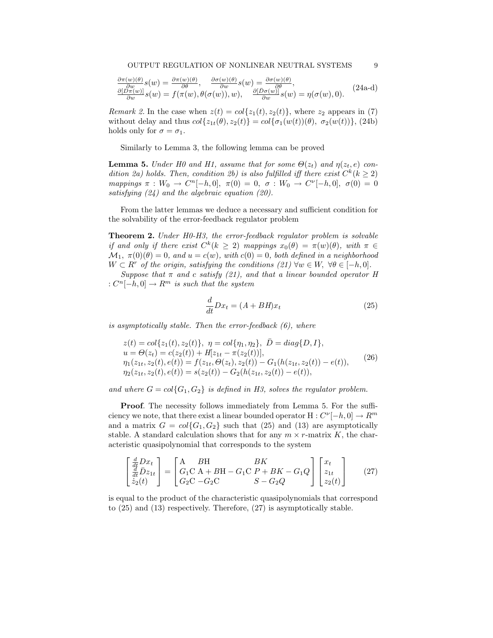$$
\frac{\frac{\partial \pi(w)(\theta)}{\partial w} s(w)}{\frac{\partial D\pi(w)}{\partial w} s(w)} = f(\pi(w), \theta(\sigma(w)), w), \quad \frac{\frac{\partial \sigma(w)(\theta)}{\partial w} s(w)}{\frac{\partial D\sigma(w)}{\partial w} s(w)} = \eta(\sigma(w), 0). \quad (24a-d)
$$

*Remark 2.* In the case when  $z(t) = col{z_1(t), z_2(t)}$ , where  $z_2$  appears in (7) without delay and thus  $col\{z_{1t}(\theta), z_{2}(t)\} = col\{\sigma_1(w(t))(\theta), \sigma_2(w(t))\},$  (24b) holds only for  $\sigma = \sigma_1$ .

Similarly to Lemma 3, the following lemma can be proved

**Lemma 5.** Under H0 and H1, assume that for some  $\Theta(z_t)$  and  $\eta(z_t, e)$  condition 2a) holds. Then, condition 2b) is also fulfilled iff there exist  $C^k$  ( $k \geq 2$ ) mappings  $\pi : W_0 \to C^n[-h, 0], \ \pi(0) = 0, \ \sigma : W_0 \to C^{\nu}[-h, 0], \ \sigma(0) = 0$ satisfying  $(24)$  and the algebraic equation  $(20)$ .

From the latter lemmas we deduce a necessary and sufficient condition for the solvability of the error-feedback regulator problem

Theorem 2. Under H0-H3, the error-feedback regulator problem is solvable if and only if there exist  $C^k(k \geq 2)$  mappings  $x_0(\theta) = \pi(w)(\theta)$ , with  $\pi \in$  $\mathcal{M}_1, \ \pi(0)(\theta) = 0$ , and  $u = c(w)$ , with  $c(0) = 0$ , both defined in a neighborhood  $W \subset R^r$  of the origin, satisfying the conditions  $(21) \forall w \in W$ ,  $\forall \theta \in [-h, 0].$ 

Suppose that  $\pi$  and c satisfy (21), and that a linear bounded operator H  $: C^n[-h, 0] \to R^m$  is such that the system

$$
\frac{d}{dt}Dx_t = (A + BH)x_t
$$
\n(25)

is asymptotically stable. Then the error-feedback  $(6)$ , where

$$
z(t) = col{z1(t), z2(t)}, \ \eta = col{\eta1, \eta2}, \ \bar{D} = diag{D, I},
$$
  
\n
$$
u = \Theta(zt) = c(z2(t)) + H[z1t - \pi(z2(t))],
$$
  
\n
$$
\eta1(z1t, z2(t), e(t)) = f(z1t, \Theta(zt), z2(t)) - G1(h(z1t, z2(t)) - e(t)),
$$
  
\n
$$
\eta2(z1t, z2(t), e(t)) = s(z2(t)) - G2(h(z1t, z2(t)) - e(t)),
$$
\n(26)

and where  $G = col{G_1, G_2}$  is defined in H3, solves the regulator problem.

Proof. The necessity follows immediately from Lemma 5. For the sufficiency we note, that there exist a linear bounded operator  $H: C^{\nu}[-h, 0] \to R^m$ and a matrix  $G = col{G_1, G_2}$  such that (25) and (13) are asymptotically stable. A standard calculation shows that for any  $m \times r$ -matrix K, the characteristic quasipolynomial that corresponds to the system

$$
\begin{bmatrix} \frac{d}{dt}Dx_t \\ \frac{d}{dt}\bar{D}z_{1t} \\ \dot{z}_2(t) \end{bmatrix} = \begin{bmatrix} A & BH & BK \\ G_1C & A + BH - G_1C & P + BK - G_1Q \\ G_2C & -G_2C & S - G_2Q \end{bmatrix} \begin{bmatrix} x_t \\ z_{1t} \\ z_2(t) \end{bmatrix}
$$
(27)

is equal to the product of the characteristic quasipolynomials that correspond to (25) and (13) respectively. Therefore, (27) is asymptotically stable.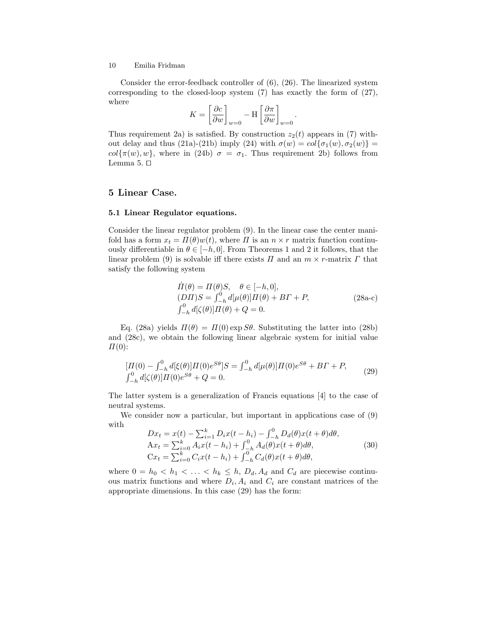Consider the error-feedback controller of (6), (26). The linearized system corresponding to the closed-loop system (7) has exactly the form of (27), where · ·

$$
K = \left[\frac{\partial c}{\partial w}\right]_{w=0} - \text{H}\left[\frac{\partial \pi}{\partial w}\right]_{w=0}
$$

.

Thus requirement 2a) is satisfied. By construction  $z_2(t)$  appears in (7) without delay and thus (21a)-(21b) imply (24) with  $\sigma(w) = col{\sigma_1(w), \sigma_2(w)}$  $col\{\pi(w), w\}$ , where in (24b)  $\sigma = \sigma_1$ . Thus requirement 2b) follows from Lemma 5.  $\Box$ 

## 5 Linear Case.

#### 5.1 Linear Regulator equations.

Consider the linear regulator problem (9). In the linear case the center manifold has a form  $x_t = \Pi(\theta)w(t)$ , where  $\Pi$  is an  $n \times r$  matrix function continuously differentiable in  $\theta \in [-h, 0]$ . From Theorems 1 and 2 it follows, that the linear problem (9) is solvable iff there exists  $\Pi$  and an  $m \times r$ -matrix  $\Gamma$  that satisfy the following system

$$
\dot{\Pi}(\theta) = \Pi(\theta)S, \quad \theta \in [-h, 0],
$$
  
\n
$$
(DH)S = \int_{-h}^{0} d[\mu(\theta)]\Pi(\theta) + BT + P,
$$
  
\n
$$
\int_{-h}^{0} d[\zeta(\theta)]\Pi(\theta) + Q = 0.
$$
\n(28a-c)

Eq. (28a) yields  $\Pi(\theta) = \Pi(0) \exp S\theta$ . Substituting the latter into (28b) and (28c), we obtain the following linear algebraic system for initial value  $\Pi(0)$ :

$$
[H(0) - \int_{-h}^{0} d[\xi(\theta)] H(0)e^{S\theta}]S = \int_{-h}^{0} d[\mu(\theta)] H(0)e^{S\theta} + BT + P,
$$
  

$$
\int_{-h}^{0} d[\zeta(\theta)] H(0)e^{S\theta} + Q = 0.
$$
 (29)

The latter system is a generalization of Francis equations [4] to the case of neutral systems.

We consider now a particular, but important in applications case of (9) with <sup>1</sup>  $\Omega$ 

$$
Dx_t = x(t) - \sum_{i=1}^{k} D_i x(t - h_i) - \int_{-h}^{0} D_d(\theta) x(t + \theta) d\theta,
$$
  
\n
$$
Ax_t = \sum_{i=0}^{k} A_i x(t - h_i) + \int_{-h}^{0} A_d(\theta) x(t + \theta) d\theta,
$$
  
\n
$$
Cx_t = \sum_{i=0}^{k} C_i x(t - h_i) + \int_{-h}^{0} C_d(\theta) x(t + \theta) d\theta,
$$
\n(30)

where  $0 = h_0 < h_1 < \ldots < h_k \leq h$ ,  $D_d$ ,  $A_d$  and  $C_d$  are piecewise continuous matrix functions and where  $D_i$ ,  $A_i$  and  $C_i$  are constant matrices of the appropriate dimensions. In this case (29) has the form: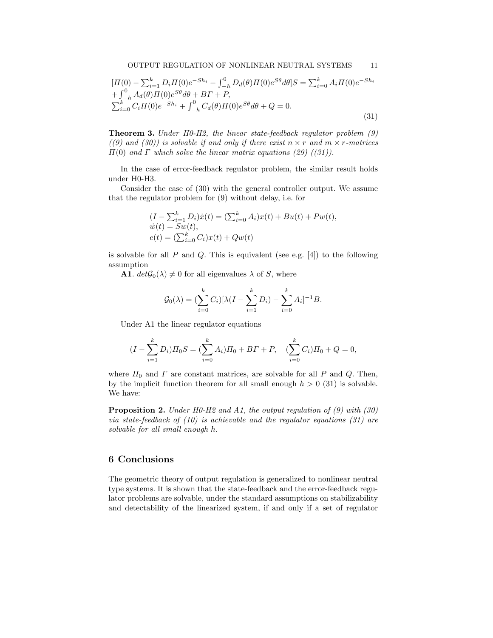$$
[H(0) - \sum_{i=1}^{k} D_i H(0) e^{-Sh_i} - \int_{-h}^{0} D_d(\theta) H(0) e^{S\theta} d\theta] S = \sum_{i=0}^{k} A_i H(0) e^{-Sh_i} + \int_{-h}^{0} A_d(\theta) H(0) e^{S\theta} d\theta + B\Gamma + P, \sum_{i=0}^{k} C_i H(0) e^{-Sh_i} + \int_{-h}^{0} C_d(\theta) H(0) e^{S\theta} d\theta + Q = 0.
$$
\n(31)

Theorem 3. Under H0-H2, the linear state-feedback regulator problem (9) ((9) and (30)) is solvable if and only if there exist  $n \times r$  and  $m \times r$ -matrices  $\Pi(0)$  and  $\Gamma$  which solve the linear matrix equations (29) ((31)).

In the case of error-feedback regulator problem, the similar result holds under H0-H3.

Consider the case of (30) with the general controller output. We assume that the regulator problem for (9) without delay, i.e. for

$$
(I - \sum_{i=1}^{k} D_i)\dot{x}(t) = (\sum_{i=0}^{k} A_i)x(t) + Bu(t) + P w(t),
$$
  
\n
$$
\dot{w}(t) = Sw(t),
$$
  
\n
$$
e(t) = (\sum_{i=0}^{k} C_i)x(t) + Qw(t)
$$

is solvable for all  $P$  and  $Q$ . This is equivalent (see e.g. [4]) to the following assumption

**A1.**  $det\mathcal{G}_0(\lambda) \neq 0$  for all eigenvalues  $\lambda$  of S, where

$$
\mathcal{G}_0(\lambda) = \left(\sum_{i=0}^k C_i\right)[\lambda(I - \sum_{i=1}^k D_i) - \sum_{i=0}^k A_i]^{-1}B.
$$

Under A1 the linear regulator equations

$$
(I - \sum_{i=1}^{k} D_i) \Pi_0 S = (\sum_{i=0}^{k} A_i) \Pi_0 + B\Gamma + P, \quad (\sum_{i=0}^{k} C_i) \Pi_0 + Q = 0,
$$

where  $\Pi_0$  and  $\Gamma$  are constant matrices, are solvable for all  $P$  and  $Q$ . Then, by the implicit function theorem for all small enough  $h > 0$  (31) is solvable. We have:

**Proposition 2.** Under H0-H2 and A1, the output regulation of  $(9)$  with  $(30)$ via state-feedback of  $(10)$  is achievable and the regulator equations  $(31)$  are solvable for all small enough h.

### 6 Conclusions

The geometric theory of output regulation is generalized to nonlinear neutral type systems. It is shown that the state-feedback and the error-feedback regulator problems are solvable, under the standard assumptions on stabilizability and detectability of the linearized system, if and only if a set of regulator